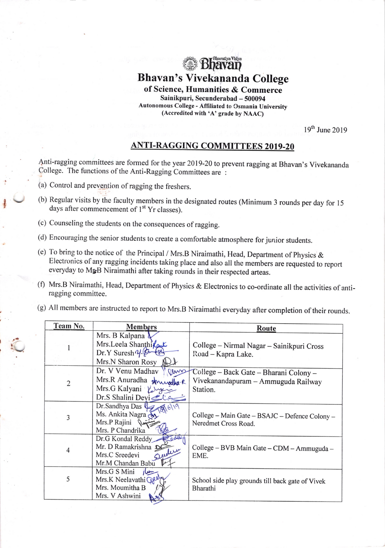

Bhavan's Vivekananda College

of Science, Humanities & Commerce Sainikpuri, Secunderabad - 500094 Autonomous College - Affiliated to Csmania University (Accredited with  $'A$ ) grade by NAAC)

 $19<sup>th</sup>$  June 2019

## ANTI-RAGGING COMMITTEES 2019-20

.{'nti-ragging committees are formed for the year 2019-20 to prevent ragging at Bhavan's Vivekananda College. The functions of the Anti-Ragging Committees are :

(a) Control and prevention of ragging the freshers.

I

i

- (b) Regular visits by the faculty members in the designated routes (Minimum 3 rounds per day for l5 days after commencement of  $1<sup>st</sup>$  Yr classes).
- (c) Counseling the students on the consequences ofragging.
- (d) Encouraging the senior students to create a comfortabie atmosphere for junior students.
- (e) To bring to the notice of the Principal / Mrs.B Niraimathi, Head, Department of physics & Electronics of any ragging incidents taking place and also all the members are requested to report everyday to Mr<sub>B</sub>B Niraimathi after taking rounds in their respected arteas.
- (f) Mrs.B Niraimathi, Head, Department of Physics & Electronics to co-ordinate all the activities of antiragging committee.
- (g) All members are instructed to report to Mrs.B Niraimathi everyday after completion of their rounds.

| Team No.       | <b>Members</b>             | Route                                            |
|----------------|----------------------------|--------------------------------------------------|
|                | Mrs. B Kalpana             |                                                  |
|                | Mrs.Leela Shanthilas       | College - Nirmal Nagar - Sainikpuri Cross        |
|                | Dr.Y Suresh y. Sumed       | Road - Kapra Lake.                               |
|                | Mrs.N Sharon Rosy          |                                                  |
| $\overline{2}$ | Dr. V Venu Madhav<br>anno  | College - Back Gate - Bharani Colony -           |
|                | Mrs.R Anuradha shuwadha R  | Vivekanandapuram - Ammuguda Railway              |
|                | Mrs.G Kalyani              | Station.                                         |
|                | Dr.S Shalini Devi          |                                                  |
| 3              | Dr. Sandhya Das            |                                                  |
|                | Ms. Ankita Nagra           | College – Main Gate – BSAJC – Defence Colony –   |
|                | Mrs.P Rajini<br>Par        | Neredmet Cross Road.                             |
|                | Mrs. P Chandrika           |                                                  |
| 4              | Dr.G Kondal Reddy          |                                                  |
|                | Mr. D Ramakrishna          | College - BVB Main Gate - CDM - Ammuguda -       |
|                | Sevelucy<br>Mrs.C Sreedevi | EME.                                             |
|                | Mr.M Chandan Babu          |                                                  |
|                | Mrs.G S Mini<br>ilm        |                                                  |
| 5              | Mrs.K Neelavathi Cal       | School side play grounds till back gate of Vivek |
|                | Mrs. Moumitha B            | Bharathi                                         |
|                | Mrs. V Ashwini             |                                                  |